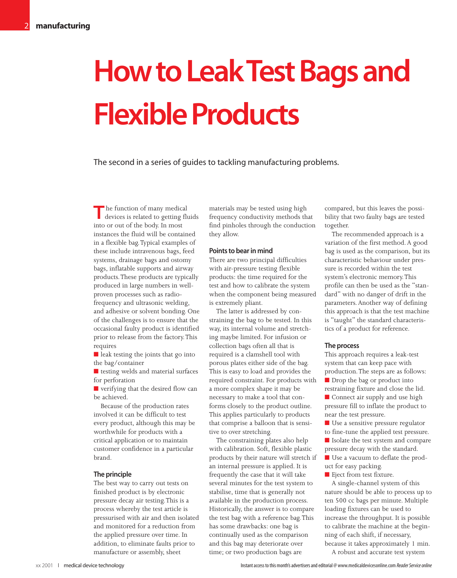# **How to Leak Test Bags and Flexible Products**

The second in a series of guides to tackling manufacturing problems.

The function of many medical<br>devices is related to getting fluids into or out of the body. In most instances the fluid will be contained in a flexible bag.Typical examples of these include intravenous bags, feed systems, drainage bags and ostomy bags, inflatable supports and airway products.These products are typically produced in large numbers in wellproven processes such as radiofrequency and ultrasonic welding, and adhesive or solvent bonding. One of the challenges is to ensure that the occasional faulty product is identified prior to release from the factory.This requires

■ leak testing the joints that go into the bag/container

■ testing welds and material surfaces for perforation

■ verifying that the desired flow can be achieved.

Because of the production rates involved it can be difficult to test every product, although this may be worthwhile for products with a critical application or to maintain customer confidence in a particular brand.

# **The principle**

The best way to carry out tests on finished product is by electronic pressure decay air testing.This is a process whereby the test article is pressurised with air and then isolated and monitored for a reduction from the applied pressure over time. In addition, to eliminate faults prior to manufacture or assembly, sheet

materials may be tested using high frequency conductivity methods that find pinholes through the conduction they allow.

# **Points to bear in mind**

There are two principal difficulties with air-pressure testing flexible products: the time required for the test and how to calibrate the system when the component being measured is extremely pliant.

The latter is addressed by constraining the bag to be tested. In this way, its internal volume and stretching maybe limited. For infusion or collection bags often all that is required is a clamshell tool with porous plates either side of the bag. This is easy to load and provides the required constraint. For products with a more complex shape it may be necessary to make a tool that conforms closely to the product outline. This applies particularly to products that comprise a balloon that is sensitive to over stretching.

The constraining plates also help with calibration. Soft, flexible plastic products by their nature will stretch if an internal pressure is applied. It is frequently the case that it will take several minutes for the test system to stabilise, time that is generally not available in the production process. Historically, the answer is to compare the test bag with a reference bag.This has some drawbacks: one bag is continually used as the comparison and this bag may deteriorate over time; or two production bags are

compared, but this leaves the possibility that two faulty bags are tested together.

The recommended approach is a variation of the first method. A good bag is used as the comparison, but its characteristic behaviour under pressure is recorded within the test system's electronic memory.This profile can then be used as the "standard" with no danger of drift in the parameters. Another way of defining this approach is that the test machine is "taught" the standard characteristics of a product for reference.

### **The process**

This approach requires a leak-test system that can keep pace with production.The steps are as follows: ■ Drop the bag or product into restraining fixture and close the lid. ■ Connect air supply and use high pressure fill to inflate the product to near the test pressure.

■ Use a sensitive pressure regulator to fine-tune the applied test pressure.

■ Isolate the test system and compare pressure decay with the standard.

■ Use a vacuum to deflate the product for easy packing.

■ Eject from test fixture.

A single-channel system of this nature should be able to process up to ten 500 cc bags per minute. Multiple loading fixtures can be used to increase the throughput. It is possible to calibrate the machine at the beginning of each shift, if necessary, because it takes approximately 1 min.

A robust and accurate test system